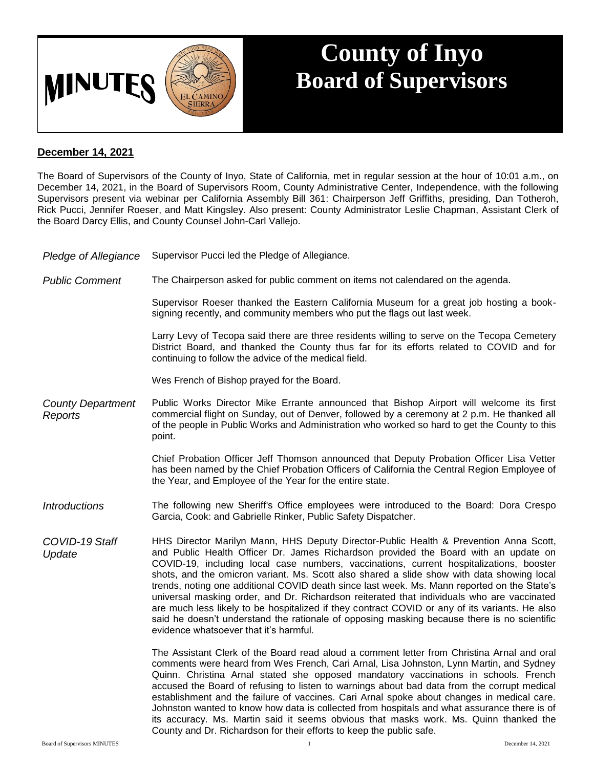

## **County of Inyo Board of Supervisors**

## **December 14, 2021**

The Board of Supervisors of the County of Inyo, State of California, met in regular session at the hour of 10:01 a.m., on December 14, 2021, in the Board of Supervisors Room, County Administrative Center, Independence, with the following Supervisors present via webinar per California Assembly Bill 361: Chairperson Jeff Griffiths, presiding, Dan Totheroh, Rick Pucci, Jennifer Roeser, and Matt Kingsley. Also present: County Administrator Leslie Chapman, Assistant Clerk of the Board Darcy Ellis, and County Counsel John-Carl Vallejo.

- *Pledge of Allegiance* Supervisor Pucci led the Pledge of Allegiance.
- *Public Comment* The Chairperson asked for public comment on items not calendared on the agenda.

Supervisor Roeser thanked the Eastern California Museum for a great job hosting a booksigning recently, and community members who put the flags out last week.

Larry Levy of Tecopa said there are three residents willing to serve on the Tecopa Cemetery District Board, and thanked the County thus far for its efforts related to COVID and for continuing to follow the advice of the medical field.

Wes French of Bishop prayed for the Board.

*County Department Reports* Public Works Director Mike Errante announced that Bishop Airport will welcome its first commercial flight on Sunday, out of Denver, followed by a ceremony at 2 p.m. He thanked all of the people in Public Works and Administration who worked so hard to get the County to this point.

> Chief Probation Officer Jeff Thomson announced that Deputy Probation Officer Lisa Vetter has been named by the Chief Probation Officers of California the Central Region Employee of the Year, and Employee of the Year for the entire state.

- *Introductions* The following new Sheriff's Office employees were introduced to the Board: Dora Crespo Garcia, Cook: and Gabrielle Rinker, Public Safety Dispatcher.
- *COVID-19 Staff Update* HHS Director Marilyn Mann, HHS Deputy Director-Public Health & Prevention Anna Scott, and Public Health Officer Dr. James Richardson provided the Board with an update on COVID-19, including local case numbers, vaccinations, current hospitalizations, booster shots, and the omicron variant. Ms. Scott also shared a slide show with data showing local trends, noting one additional COVID death since last week. Ms. Mann reported on the State's universal masking order, and Dr. Richardson reiterated that individuals who are vaccinated are much less likely to be hospitalized if they contract COVID or any of its variants. He also said he doesn't understand the rationale of opposing masking because there is no scientific evidence whatsoever that it's harmful.

The Assistant Clerk of the Board read aloud a comment letter from Christina Arnal and oral comments were heard from Wes French, Cari Arnal, Lisa Johnston, Lynn Martin, and Sydney Quinn. Christina Arnal stated she opposed mandatory vaccinations in schools. French accused the Board of refusing to listen to warnings about bad data from the corrupt medical establishment and the failure of vaccines. Cari Arnal spoke about changes in medical care. Johnston wanted to know how data is collected from hospitals and what assurance there is of its accuracy. Ms. Martin said it seems obvious that masks work. Ms. Quinn thanked the County and Dr. Richardson for their efforts to keep the public safe.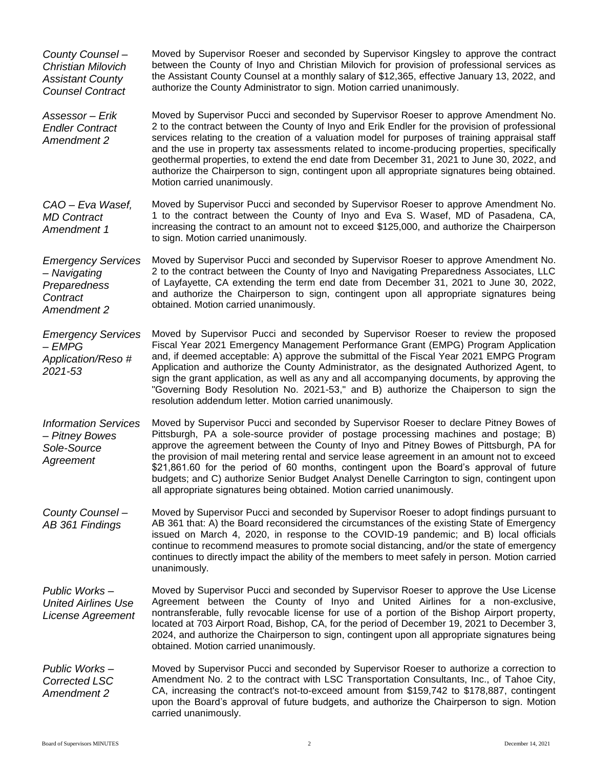| County Counsel-<br><b>Christian Milovich</b><br><b>Assistant County</b><br><b>Counsel Contract</b> | Moved by Supervisor Roeser and seconded by Supervisor Kingsley to approve the contract<br>between the County of Inyo and Christian Milovich for provision of professional services as<br>the Assistant County Counsel at a monthly salary of \$12,365, effective January 13, 2022, and<br>authorize the County Administrator to sign. Motion carried unanimously.                                                                                                                                                                                                                                                                             |
|----------------------------------------------------------------------------------------------------|-----------------------------------------------------------------------------------------------------------------------------------------------------------------------------------------------------------------------------------------------------------------------------------------------------------------------------------------------------------------------------------------------------------------------------------------------------------------------------------------------------------------------------------------------------------------------------------------------------------------------------------------------|
| Assessor - Erik<br><b>Endler Contract</b><br>Amendment 2                                           | Moved by Supervisor Pucci and seconded by Supervisor Roeser to approve Amendment No.<br>2 to the contract between the County of Inyo and Erik Endler for the provision of professional<br>services relating to the creation of a valuation model for purposes of training appraisal staff<br>and the use in property tax assessments related to income-producing properties, specifically<br>geothermal properties, to extend the end date from December 31, 2021 to June 30, 2022, and<br>authorize the Chairperson to sign, contingent upon all appropriate signatures being obtained.<br>Motion carried unanimously.                       |
| CAO - Eva Wasef,<br><b>MD Contract</b><br>Amendment 1                                              | Moved by Supervisor Pucci and seconded by Supervisor Roeser to approve Amendment No.<br>1 to the contract between the County of Inyo and Eva S. Wasef, MD of Pasadena, CA,<br>increasing the contract to an amount not to exceed \$125,000, and authorize the Chairperson<br>to sign. Motion carried unanimously.                                                                                                                                                                                                                                                                                                                             |
| <b>Emergency Services</b><br>- Navigating<br>Preparedness<br>Contract<br>Amendment 2               | Moved by Supervisor Pucci and seconded by Supervisor Roeser to approve Amendment No.<br>2 to the contract between the County of Inyo and Navigating Preparedness Associates, LLC<br>of Layfayette, CA extending the term end date from December 31, 2021 to June 30, 2022,<br>and authorize the Chairperson to sign, contingent upon all appropriate signatures being<br>obtained. Motion carried unanimously.                                                                                                                                                                                                                                |
| <b>Emergency Services</b><br>$-EMPG$<br>Application/Reso #<br>2021-53                              | Moved by Supervisor Pucci and seconded by Supervisor Roeser to review the proposed<br>Fiscal Year 2021 Emergency Management Performance Grant (EMPG) Program Application<br>and, if deemed acceptable: A) approve the submittal of the Fiscal Year 2021 EMPG Program<br>Application and authorize the County Administrator, as the designated Authorized Agent, to<br>sign the grant application, as well as any and all accompanying documents, by approving the<br>"Governing Body Resolution No. 2021-53," and B) authorize the Chaiperson to sign the<br>resolution addendum letter. Motion carried unanimously.                          |
| <b>Information Services</b><br>- Pitney Bowes<br>Sole-Source<br>Agreement                          | Moved by Supervisor Pucci and seconded by Supervisor Roeser to declare Pitney Bowes of<br>Pittsburgh, PA a sole-source provider of postage processing machines and postage; B)<br>approve the agreement between the County of Inyo and Pitney Bowes of Pittsburgh, PA for<br>the provision of mail metering rental and service lease agreement in an amount not to exceed<br>\$21,861.60 for the period of 60 months, contingent upon the Board's approval of future<br>budgets; and C) authorize Senior Budget Analyst Denelle Carrington to sign, contingent upon<br>all appropriate signatures being obtained. Motion carried unanimously. |
| County Counsel -<br>AB 361 Findings                                                                | Moved by Supervisor Pucci and seconded by Supervisor Roeser to adopt findings pursuant to<br>AB 361 that: A) the Board reconsidered the circumstances of the existing State of Emergency<br>issued on March 4, 2020, in response to the COVID-19 pandemic; and B) local officials<br>continue to recommend measures to promote social distancing, and/or the state of emergency<br>continues to directly impact the ability of the members to meet safely in person. Motion carried<br>unanimously.                                                                                                                                           |
| Public Works-<br><b>United Airlines Use</b><br>License Agreement                                   | Moved by Supervisor Pucci and seconded by Supervisor Roeser to approve the Use License<br>Agreement between the County of Inyo and United Airlines for a non-exclusive,<br>nontransferable, fully revocable license for use of a portion of the Bishop Airport property,<br>located at 703 Airport Road, Bishop, CA, for the period of December 19, 2021 to December 3,<br>2024, and authorize the Chairperson to sign, contingent upon all appropriate signatures being<br>obtained. Motion carried unanimously.                                                                                                                             |
| Public Works-<br><b>Corrected LSC</b><br>Amendment 2                                               | Moved by Supervisor Pucci and seconded by Supervisor Roeser to authorize a correction to<br>Amendment No. 2 to the contract with LSC Transportation Consultants, Inc., of Tahoe City,<br>CA, increasing the contract's not-to-exceed amount from \$159,742 to \$178,887, contingent<br>upon the Board's approval of future budgets, and authorize the Chairperson to sign. Motion<br>carried unanimously.                                                                                                                                                                                                                                     |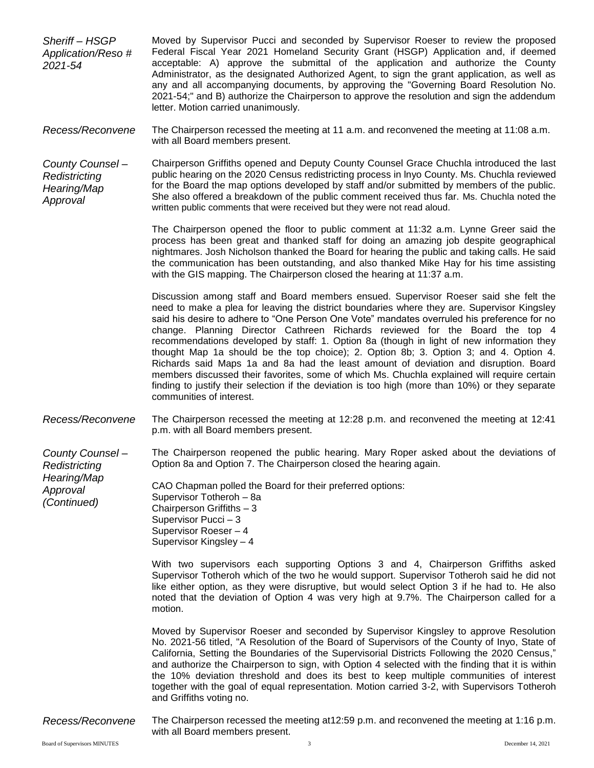- *Sheriff – HSGP Application/Reso # 2021-54* Moved by Supervisor Pucci and seconded by Supervisor Roeser to review the proposed Federal Fiscal Year 2021 Homeland Security Grant (HSGP) Application and, if deemed acceptable: A) approve the submittal of the application and authorize the County Administrator, as the designated Authorized Agent, to sign the grant application, as well as any and all accompanying documents, by approving the "Governing Board Resolution No. 2021-54;" and B) authorize the Chairperson to approve the resolution and sign the addendum letter. Motion carried unanimously.
- *Recess/Reconvene* The Chairperson recessed the meeting at 11 a.m. and reconvened the meeting at 11:08 a.m. with all Board members present.
- *County Counsel – Redistricting Hearing/Map Approval* Chairperson Griffiths opened and Deputy County Counsel Grace Chuchla introduced the last public hearing on the 2020 Census redistricting process in lnyo County. Ms. Chuchla reviewed for the Board the map options developed by staff and/or submitted by members of the public. She also offered a breakdown of the public comment received thus far. Ms. Chuchla noted the written public comments that were received but they were not read aloud.

The Chairperson opened the floor to public comment at 11:32 a.m. Lynne Greer said the process has been great and thanked staff for doing an amazing job despite geographical nightmares. Josh Nicholson thanked the Board for hearing the public and taking calls. He said the communication has been outstanding, and also thanked Mike Hay for his time assisting with the GIS mapping. The Chairperson closed the hearing at 11:37 a.m.

Discussion among staff and Board members ensued. Supervisor Roeser said she felt the need to make a plea for leaving the district boundaries where they are. Supervisor Kingsley said his desire to adhere to "One Person One Vote" mandates overruled his preference for no change. Planning Director Cathreen Richards reviewed for the Board the top 4 recommendations developed by staff: 1. Option 8a (though in light of new information they thought Map 1a should be the top choice); 2. Option 8b; 3. Option 3; and 4. Option 4. Richards said Maps 1a and 8a had the least amount of deviation and disruption. Board members discussed their favorites, some of which Ms. Chuchla explained will require certain finding to justify their selection if the deviation is too high (more than 10%) or they separate communities of interest.

*Recess/Reconvene* The Chairperson recessed the meeting at 12:28 p.m. and reconvened the meeting at 12:41 p.m. with all Board members present.

*County Counsel – Redistricting*  The Chairperson reopened the public hearing. Mary Roper asked about the deviations of Option 8a and Option 7. The Chairperson closed the hearing again.

> CAO Chapman polled the Board for their preferred options: Supervisor Totheroh – 8a Chairperson Griffiths – 3 Supervisor Pucci – 3 Supervisor Roeser – 4 Supervisor Kingsley – 4

With two supervisors each supporting Options 3 and 4, Chairperson Griffiths asked Supervisor Totheroh which of the two he would support. Supervisor Totheroh said he did not like either option, as they were disruptive, but would select Option 3 if he had to. He also noted that the deviation of Option 4 was very high at 9.7%. The Chairperson called for a motion.

Moved by Supervisor Roeser and seconded by Supervisor Kingsley to approve Resolution No. 2021-56 titled, "A Resolution of the Board of Supervisors of the County of Inyo, State of California, Setting the Boundaries of the Supervisorial Districts Following the 2020 Census," and authorize the Chairperson to sign, with Option 4 selected with the finding that it is within the 10% deviation threshold and does its best to keep multiple communities of interest together with the goal of equal representation. Motion carried 3-2, with Supervisors Totheroh and Griffiths voting no.

*Recess/Reconvene* The Chairperson recessed the meeting at12:59 p.m. and reconvened the meeting at 1:16 p.m. with all Board members present.

*Hearing/Map Approval (Continued)*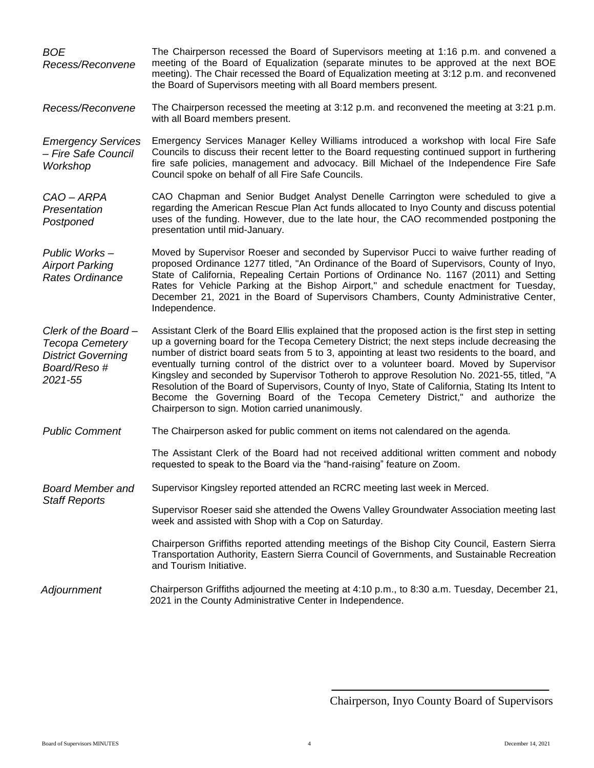| <b>BOE</b><br>Recess/Reconvene                                                                       | The Chairperson recessed the Board of Supervisors meeting at 1:16 p.m. and convened a<br>meeting of the Board of Equalization (separate minutes to be approved at the next BOE<br>meeting). The Chair recessed the Board of Equalization meeting at 3:12 p.m. and reconvened<br>the Board of Supervisors meeting with all Board members present.                                                                                                                                                                                                                                                                                                                                                                                             |
|------------------------------------------------------------------------------------------------------|----------------------------------------------------------------------------------------------------------------------------------------------------------------------------------------------------------------------------------------------------------------------------------------------------------------------------------------------------------------------------------------------------------------------------------------------------------------------------------------------------------------------------------------------------------------------------------------------------------------------------------------------------------------------------------------------------------------------------------------------|
| Recess/Reconvene                                                                                     | The Chairperson recessed the meeting at 3:12 p.m. and reconvened the meeting at 3:21 p.m.<br>with all Board members present.                                                                                                                                                                                                                                                                                                                                                                                                                                                                                                                                                                                                                 |
| <b>Emergency Services</b><br>- Fire Safe Council<br>Workshop                                         | Emergency Services Manager Kelley Williams introduced a workshop with local Fire Safe<br>Councils to discuss their recent letter to the Board requesting continued support in furthering<br>fire safe policies, management and advocacy. Bill Michael of the Independence Fire Safe<br>Council spoke on behalf of all Fire Safe Councils.                                                                                                                                                                                                                                                                                                                                                                                                    |
| CAO - ARPA<br>Presentation<br>Postponed                                                              | CAO Chapman and Senior Budget Analyst Denelle Carrington were scheduled to give a<br>regarding the American Rescue Plan Act funds allocated to Inyo County and discuss potential<br>uses of the funding. However, due to the late hour, the CAO recommended postponing the<br>presentation until mid-January.                                                                                                                                                                                                                                                                                                                                                                                                                                |
| Public Works-<br><b>Airport Parking</b><br><b>Rates Ordinance</b>                                    | Moved by Supervisor Roeser and seconded by Supervisor Pucci to waive further reading of<br>proposed Ordinance 1277 titled, "An Ordinance of the Board of Supervisors, County of Inyo,<br>State of California, Repealing Certain Portions of Ordinance No. 1167 (2011) and Setting<br>Rates for Vehicle Parking at the Bishop Airport," and schedule enactment for Tuesday,<br>December 21, 2021 in the Board of Supervisors Chambers, County Administrative Center,<br>Independence.                                                                                                                                                                                                                                                         |
| Clerk of the Board-<br><b>Tecopa Cemetery</b><br><b>District Governing</b><br>Board/Reso#<br>2021-55 | Assistant Clerk of the Board Ellis explained that the proposed action is the first step in setting<br>up a governing board for the Tecopa Cemetery District; the next steps include decreasing the<br>number of district board seats from 5 to 3, appointing at least two residents to the board, and<br>eventually turning control of the district over to a volunteer board. Moved by Supervisor<br>Kingsley and seconded by Supervisor Totheroh to approve Resolution No. 2021-55, titled, "A<br>Resolution of the Board of Supervisors, County of Inyo, State of California, Stating Its Intent to<br>Become the Governing Board of the Tecopa Cemetery District," and authorize the<br>Chairperson to sign. Motion carried unanimously. |
| <b>Public Comment</b>                                                                                | The Chairperson asked for public comment on items not calendared on the agenda.                                                                                                                                                                                                                                                                                                                                                                                                                                                                                                                                                                                                                                                              |
|                                                                                                      | The Assistant Clerk of the Board had not received additional written comment and nobody<br>requested to speak to the Board via the "hand-raising" feature on Zoom.                                                                                                                                                                                                                                                                                                                                                                                                                                                                                                                                                                           |
| <b>Board Member and</b><br><b>Staff Reports</b>                                                      | Supervisor Kingsley reported attended an RCRC meeting last week in Merced.                                                                                                                                                                                                                                                                                                                                                                                                                                                                                                                                                                                                                                                                   |
|                                                                                                      | Supervisor Roeser said she attended the Owens Valley Groundwater Association meeting last<br>week and assisted with Shop with a Cop on Saturday.                                                                                                                                                                                                                                                                                                                                                                                                                                                                                                                                                                                             |
|                                                                                                      | Chairperson Griffiths reported attending meetings of the Bishop City Council, Eastern Sierra<br>Transportation Authority, Eastern Sierra Council of Governments, and Sustainable Recreation<br>and Tourism Initiative.                                                                                                                                                                                                                                                                                                                                                                                                                                                                                                                       |
| Adjournment                                                                                          | Chairperson Griffiths adjourned the meeting at 4:10 p.m., to 8:30 a.m. Tuesday, December 21,<br>2021 in the County Administrative Center in Independence.                                                                                                                                                                                                                                                                                                                                                                                                                                                                                                                                                                                    |

Chairperson, Inyo County Board of Supervisors